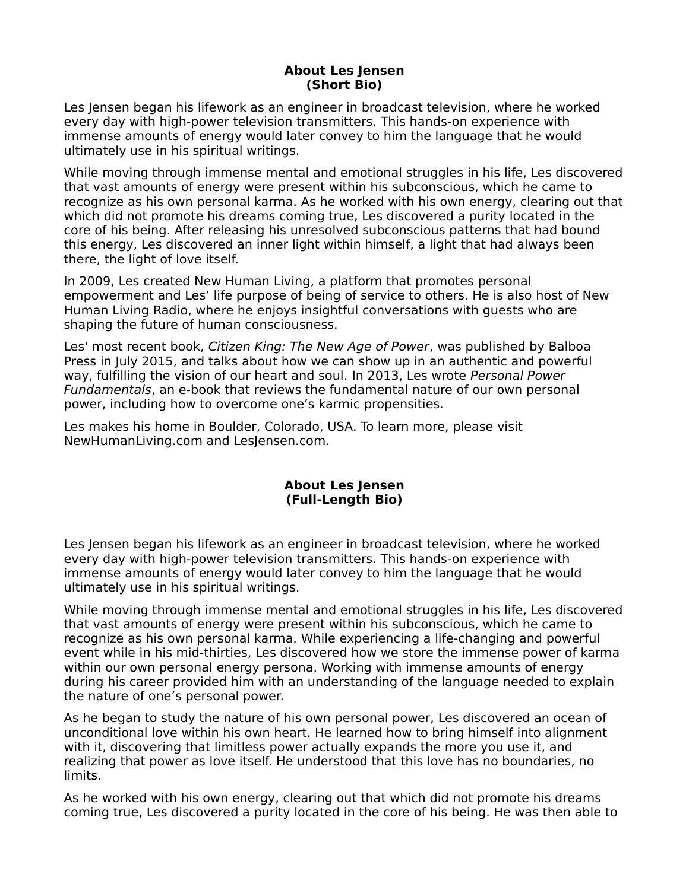## **About Les Jensen (Short Bio)**

Les Jensen began his lifework as an engineer in broadcast television, where he worked every day with high-power television transmitters. This hands-on experience with immense amounts of energy would later convey to him the language that he would ultimately use in his spiritual writings.

While moving through immense mental and emotional struggles in his life, Les discovered that vast amounts of energy were present within his subconscious, which he came to recognize as his own personal karma. As he worked with his own energy, clearing out that which did not promote his dreams coming true, Les discovered a purity located in the core of his being. After releasing his unresolved subconscious patterns that had bound this energy, Les discovered an inner light within himself, a light that had always been there, the light of love itself.

In 2009, Les created New Human Living, a platform that promotes personal empowerment and Les' life purpose of being of service to others. He is also host of New Human Living Radio, where he enjoys insightful conversations with guests who are shaping the future of human consciousness.

Les' most recent book, Citizen King: The New Age of Power, was published by Balboa Press in July 2015, and talks about how we can show up in an authentic and powerful way, fulfilling the vision of our heart and soul. In 2013, Les wrote Personal Power Fundamentals, an e-book that reviews the fundamental nature of our own personal power, including how to overcome one's karmic propensities.

Les makes his home in Boulder, Colorado, USA. To learn more, please visit NewHumanLiving.com and LesJensen.com.

## **About Les Jensen (Full-Length Bio)**

Les Jensen began his lifework as an engineer in broadcast television, where he worked every day with high-power television transmitters. This hands-on experience with immense amounts of energy would later convey to him the language that he would ultimately use in his spiritual writings.

While moving through immense mental and emotional struggles in his life, Les discovered that vast amounts of energy were present within his subconscious, which he came to recognize as his own personal karma. While experiencing a life-changing and powerful event while in his mid-thirties, Les discovered how we store the immense power of karma within our own personal energy persona. Working with immense amounts of energy during his career provided him with an understanding of the language needed to explain the nature of one's personal power.

As he began to study the nature of his own personal power, Les discovered an ocean of unconditional love within his own heart. He learned how to bring himself into alignment with it, discovering that limitless power actually expands the more you use it, and realizing that power as love itself. He understood that this love has no boundaries, no limits.

As he worked with his own energy, clearing out that which did not promote his dreams coming true, Les discovered a purity located in the core of his being. He was then able to